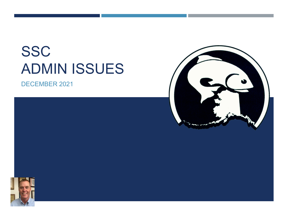# **SSC** ADMIN ISSUES

DECEMBER 2021





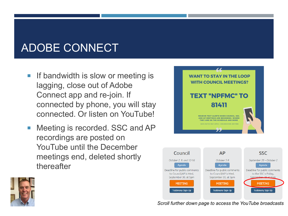## ADOBE CONNECT

- $\blacksquare$  If bandwidth is slow or meeting is lagging, close out of Adobe Connect app and re-join. If connected by phone, you will stay connected. Or listen on YouTube!
- **Meeting is recorded. SSC and AP** recordings are posted on YouTube until the December meetings end, deleted shortly thereafter







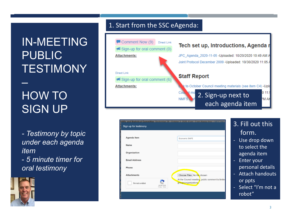IN-MEETING PUBLIC TESTIMONY

#### – HOW TO SIGN UP

*- Testimony by topic under each agenda item*  - *5 minute timer for oral testimony*



#### 1. Start from the SSC eAgenda:



| entific and Statistical Committee: September 28 - October 2, 2020, 8 am - 3 pm Alaska time - MEETING.<br>Sign up for testimony |                                                                                                  | 3. Fill out this                                                                                                                                       |
|--------------------------------------------------------------------------------------------------------------------------------|--------------------------------------------------------------------------------------------------|--------------------------------------------------------------------------------------------------------------------------------------------------------|
| <b>Agenda Item</b><br><b>Name</b><br>Organization<br><b>Email Address</b><br>Phone<br><b>Attachments</b>                       | Economic SAFE<br>Choose Files No file chosen<br>At the Council meeting, public comment is limite | form.<br>Use drop down<br>٠<br>to select the<br>agenda item<br><b>Enter your</b><br>$\equiv$<br>personal details<br><b>Attach handouts</b><br>$\equiv$ |
| I'm not a robot<br>reCAPTCHA<br>Privacy - Terms                                                                                | groups/organizations.                                                                            | or ppts<br>Select "I'm not a<br>$\sim$<br>robot"                                                                                                       |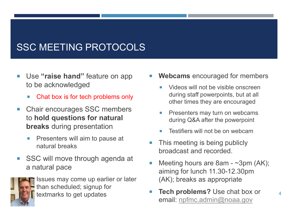#### SSC MEETING PROTOCOLS

- Use **"raise hand"** feature on app to be acknowledged
	- Chat box is for tech problems only
- Chair encourages SSC members to **hold questions for natural breaks** during presentation
	- Presenters will aim to pause at natural breaks
- SSC will move through agenda at a natural pace



 Issues may come up earlier or later than scheduled; signup for textmarks to get updates

- **Webcams** encouraged for members
	- Videos will not be visible onscreen during staff powerpoints, but at all other times they are encouraged
	- **Presenters may turn on webcams** during Q&A after the powerpoint
	- Testifiers will not be on webcam
- This meeting is being publicly broadcast and recorded.
- Meeting hours are 8am ~3pm (AK); aiming for lunch 11.30-12.30pm (AK); breaks as appropriate
- **Tech problems?** Use chat box or email: [npfmc.admin@noaa.gov](mailto:npfmc.admin@noaa.gov)

4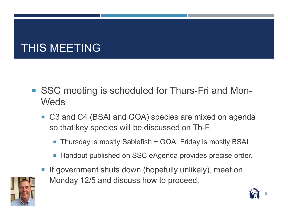## THIS MEETING

- SSC meeting is scheduled for Thurs-Fri and Mon-**Weds** 
	- C3 and C4 (BSAI and GOA) species are mixed on agenda so that key species will be discussed on Th-F.
		- Thursday is mostly Sablefish + GOA; Friday is mostly BSAI
		- Handout published on SSC eAgenda provides precise order.
	- If government shuts down (hopefully unlikely), meet on Monday 12/5 and discuss how to proceed.



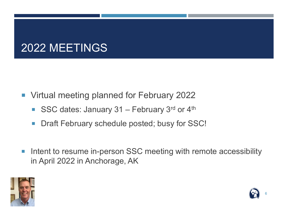### 2022 MEETINGS

- **Virtual meeting planned for February 2022** 
	- SSC dates: January  $31$  February  $3^{rd}$  or  $4^{th}$
	- **Draft February schedule posted; busy for SSC!**
- Intent to resume in-person SSC meeting with remote accessibility in April 2022 in Anchorage, AK



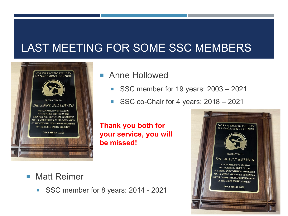### LAST MEETING FOR SOME SSC MEMBERS



#### **Anne Hollowed**

- SSC member for 19 years: 2003 2021
- SSC co-Chair for 4 years: 2018 2021

**Thank you both for your service, you will be missed!**

#### **Matt Reimer**

SSC member for 8 years: 2014 - 2021

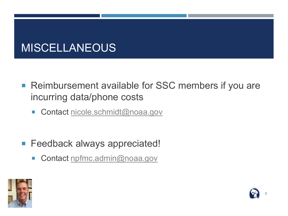#### **MISCELLANEOUS**

- Reimbursement available for SSC members if you are incurring data/phone costs
	- Contact [nicole.schmidt@noaa.gov](mailto:nicole.schmidt@noaa.gov)
- **Feedback always appreciated!** 
	- Contact [npfmc.admin@noaa.gov](mailto:npfmc.admin@noaa.gov)